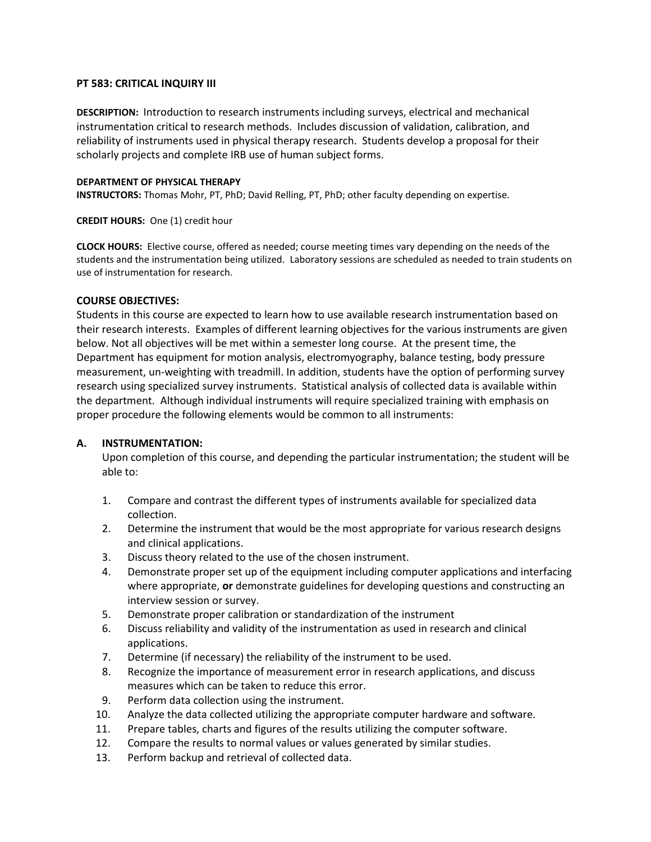## **PT 583: CRITICAL INQUIRY III**

**DESCRIPTION:** Introduction to research instruments including surveys, electrical and mechanical instrumentation critical to research methods. Includes discussion of validation, calibration, and reliability of instruments used in physical therapy research. Students develop a proposal for their scholarly projects and complete IRB use of human subject forms.

#### **DEPARTMENT OF PHYSICAL THERAPY**

**INSTRUCTORS:** Thomas Mohr, PT, PhD; David Relling, PT, PhD; other faculty depending on expertise.

#### **CREDIT HOURS:** One (1) credit hour

**CLOCK HOURS:** Elective course, offered as needed; course meeting times vary depending on the needs of the students and the instrumentation being utilized. Laboratory sessions are scheduled as needed to train students on use of instrumentation for research.

## **COURSE OBJECTIVES:**

Students in this course are expected to learn how to use available research instrumentation based on their research interests. Examples of different learning objectives for the various instruments are given below. Not all objectives will be met within a semester long course. At the present time, the Department has equipment for motion analysis, electromyography, balance testing, body pressure measurement, un-weighting with treadmill. In addition, students have the option of performing survey research using specialized survey instruments. Statistical analysis of collected data is available within the department. Although individual instruments will require specialized training with emphasis on proper procedure the following elements would be common to all instruments:

### **A. INSTRUMENTATION:**

Upon completion of this course, and depending the particular instrumentation; the student will be able to:

- 1. Compare and contrast the different types of instruments available for specialized data collection.
- 2. Determine the instrument that would be the most appropriate for various research designs and clinical applications.
- 3. Discuss theory related to the use of the chosen instrument.
- 4. Demonstrate proper set up of the equipment including computer applications and interfacing where appropriate, **or** demonstrate guidelines for developing questions and constructing an interview session or survey.
- 5. Demonstrate proper calibration or standardization of the instrument
- 6. Discuss reliability and validity of the instrumentation as used in research and clinical applications.
- 7. Determine (if necessary) the reliability of the instrument to be used.
- 8. Recognize the importance of measurement error in research applications, and discuss measures which can be taken to reduce this error.
- 9. Perform data collection using the instrument.
- 10. Analyze the data collected utilizing the appropriate computer hardware and software.
- 11. Prepare tables, charts and figures of the results utilizing the computer software.
- 12. Compare the results to normal values or values generated by similar studies.
- 13. Perform backup and retrieval of collected data.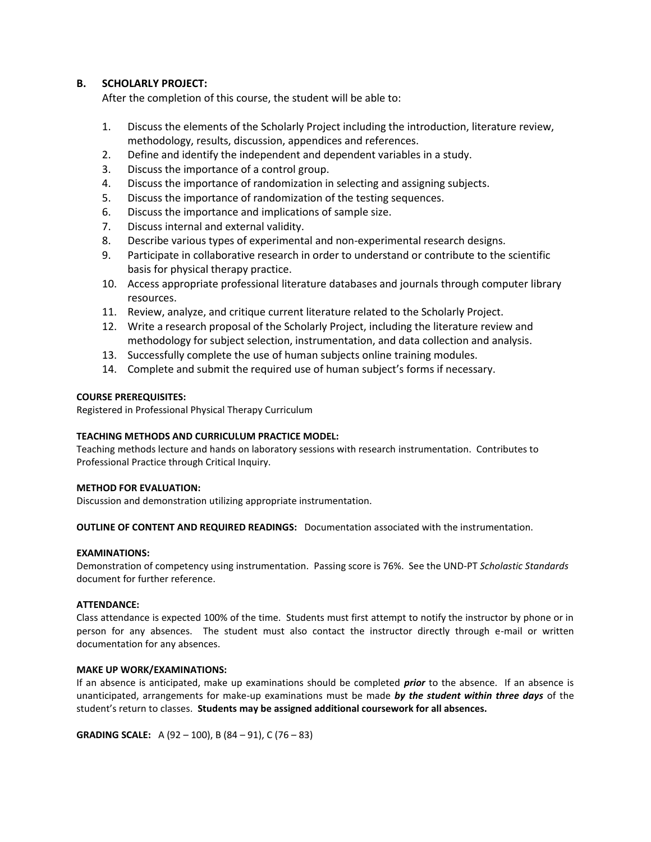# **B. SCHOLARLY PROJECT:**

After the completion of this course, the student will be able to:

- 1. Discuss the elements of the Scholarly Project including the introduction, literature review, methodology, results, discussion, appendices and references.
- 2. Define and identify the independent and dependent variables in a study.
- 3. Discuss the importance of a control group.
- 4. Discuss the importance of randomization in selecting and assigning subjects.
- 5. Discuss the importance of randomization of the testing sequences.
- 6. Discuss the importance and implications of sample size.
- 7. Discuss internal and external validity.
- 8. Describe various types of experimental and non-experimental research designs.
- 9. Participate in collaborative research in order to understand or contribute to the scientific basis for physical therapy practice.
- 10. Access appropriate professional literature databases and journals through computer library resources.
- 11. Review, analyze, and critique current literature related to the Scholarly Project.
- 12. Write a research proposal of the Scholarly Project, including the literature review and methodology for subject selection, instrumentation, and data collection and analysis.
- 13. Successfully complete the use of human subjects online training modules.
- 14. Complete and submit the required use of human subject's forms if necessary.

## **COURSE PREREQUISITES:**

Registered in Professional Physical Therapy Curriculum

### **TEACHING METHODS AND CURRICULUM PRACTICE MODEL:**

Teaching methods lecture and hands on laboratory sessions with research instrumentation. Contributes to Professional Practice through Critical Inquiry.

### **METHOD FOR EVALUATION:**

Discussion and demonstration utilizing appropriate instrumentation.

**OUTLINE OF CONTENT AND REQUIRED READINGS:** Documentation associated with the instrumentation.

### **EXAMINATIONS:**

Demonstration of competency using instrumentation. Passing score is 76%. See the UND-PT *Scholastic Standards* document for further reference.

### **ATTENDANCE:**

Class attendance is expected 100% of the time. Students must first attempt to notify the instructor by phone or in person for any absences. The student must also contact the instructor directly through e-mail or written documentation for any absences.

### **MAKE UP WORK/EXAMINATIONS:**

If an absence is anticipated, make up examinations should be completed *prior* to the absence. If an absence is unanticipated, arrangements for make-up examinations must be made *by the student within three days* of the student's return to classes. **Students may be assigned additional coursework for all absences.**

**GRADING SCALE:** A (92 – 100), B (84 – 91), C (76 – 83)